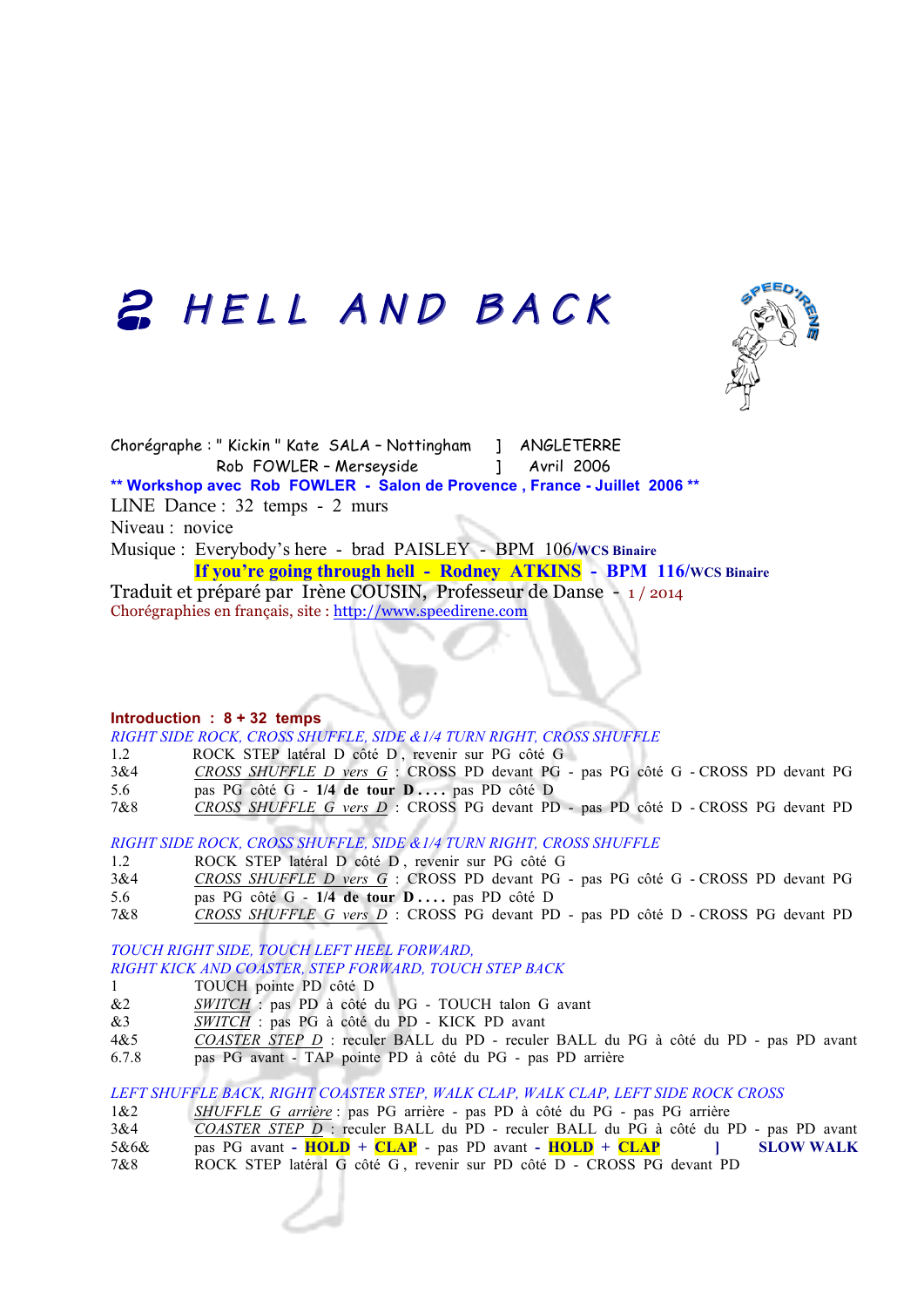## 2 HELL AND BACK



Chorégraphe : " Kickin " Kate SALA – Nottingham ] ANGLETERRE Rob FOWLER - Merseyside [154] Avril 2006 **\*\* Workshop avec Rob FOWLER - Salon de Provence , France - Juillet 2006 \*\*** LINE Dance : 32 temps - 2 murs Niveau : novice Musique : Everybody's here - brad PAISLEY - BPM 106**/WCS Binaire If you're going through hell - Rodney ATKINS - BPM 116/WCS Binaire**  Traduit et préparé par Irène COUSIN, Professeur de Danse - 1 / 2014

Chorégraphies en français, site : http://www.speedirene.com

#### **Introduction : 8 + 32 temps**

*RIGHT SIDE ROCK, CROSS SHUFFLE, SIDE &1/4 TURN RIGHT, CROSS SHUFFLE*

1.2 ROCK STEP latéral D côté D , revenir sur PG côté G

- 3&4 *CROSS SHUFFLE D vers G* : CROSS PD devant PG pas PG côté G CROSS PD devant PG
- 5.6 pas PG côté G **1/4 de tour D . . . .** pas PD côté D
- 7&8 *CROSS SHUFFLE G vers D* : CROSS PG devant PD pas PD côté D CROSS PG devant PD

*RIGHT SIDE ROCK, CROSS SHUFFLE, SIDE &1/4 TURN RIGHT, CROSS SHUFFLE*

- 1.2 ROCK STEP latéral D côté D , revenir sur PG côté G
- 3&4 *CROSS SHUFFLE D vers G* : CROSS PD devant PG pas PG côté G CROSS PD devant PG 5.6 pas PG côté G - **1/4 de tour D . . . .** pas PD côté D
- 7&8 *CROSS SHUFFLE G vers D* : CROSS PG devant PD pas PD côté D CROSS PG devant PD

### *TOUCH RIGHT SIDE, TOUCH LEFT HEEL FORWARD, RIGHT KICK AND COASTER, STEP FORWARD, TOUCH STEP BACK*

- 1 TOUCH pointe PD côté D
- &2 *SWITCH* : pas PD à côté du PG TOUCH talon G avant
- &3 *SWITCH* : pas PG à côté du PD KICK PD avant
- 4&5 *COASTER STEP D* : reculer BALL du PD reculer BALL du PG à côté du PD pas PD avant
- 6.7.8 pas PG avant TAP pointe PD à côté du PG pas PD arrière

### *LEFT SHUFFLE BACK, RIGHT COASTER STEP, WALK CLAP, WALK CLAP, LEFT SIDE ROCK CROSS*

- 1&2 *SHUFFLE G arrière* : pas PG arrière pas PD à côté du PG pas PG arrière
- 3&4 *COASTER STEP D* : reculer BALL du PD reculer BALL du PG à côté du PD pas PD avant 5&6& pas PG avant **- HOLD + CLAP** - pas PD avant **- HOLD + CLAP ] SLOW WALK**
- 7&8 ROCK STEP latéral G côté G , revenir sur PD côté D CROSS PG devant PD